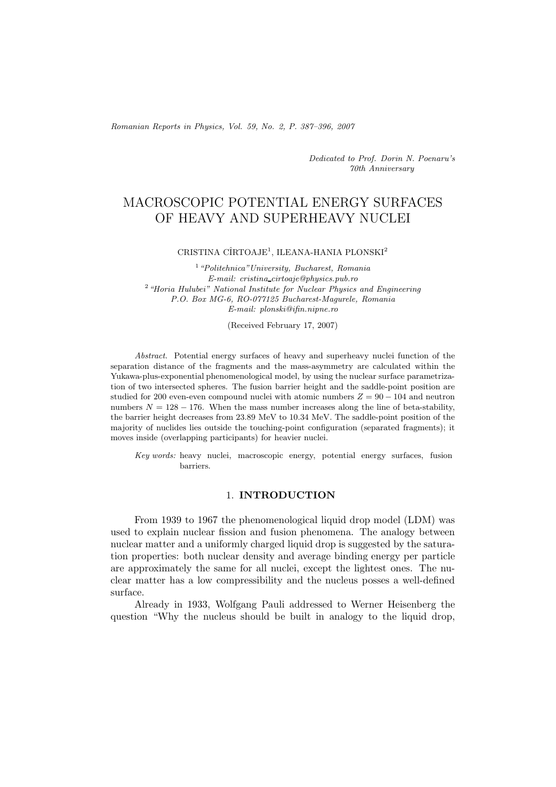*Romanian Reports in Physics, Vol. 59, No. 2, P. 387–396, 2007*

*Dedicated to Prof. Dorin N. Poenaru's 70th Anniversary*

# MACROSCOPIC POTENTIAL ENERGY SURFACES OF HEAVY AND SUPERHEAVY NUCLEI

### CRISTINA CÎRTOAJE<sup>1</sup>, ILEANA-HANIA PLONSKI<sup>2</sup>

<sup>1</sup>*"Politehnica"University, Bucharest, Romania E-mail: cristina cirtoaje@physics.pub.ro* <sup>2</sup>*"Horia Hulubei" National Institute for Nuclear Physics and Engineering P.O. Box MG-6, RO-077125 Bucharest-Magurele, Romania E-mail: plonski@ifin.nipne.ro*

(Received February 17, 2007)

*Abstract.* Potential energy surfaces of heavy and superheavy nuclei function of the separation distance of the fragments and the mass-asymmetry are calculated within the Yukawa-plus-exponential phenomenological model, by using the nuclear surface parametrization of two intersected spheres. The fusion barrier height and the saddle-point position are studied for 200 even-even compound nuclei with atomic numbers  $Z = 90 - 104$  and neutron numbers  $N = 128 - 176$ . When the mass number increases along the line of beta-stability, the barrier height decreases from 23.89 MeV to 10.34 MeV. The saddle-point position of the majority of nuclides lies outside the touching-point configuration (separated fragments); it moves inside (overlapping participants) for heavier nuclei.

*Key words:* heavy nuclei, macroscopic energy, potential energy surfaces, fusion barriers.

## 1. **INTRODUCTION**

From 1939 to 1967 the phenomenological liquid drop model (LDM) was used to explain nuclear fission and fusion phenomena. The analogy between nuclear matter and a uniformly charged liquid drop is suggested by the saturation properties: both nuclear density and average binding energy per particle are approximately the same for all nuclei, except the lightest ones. The nuclear matter has a low compressibility and the nucleus posses a well-defined surface.

Already in 1933, Wolfgang Pauli addressed to Werner Heisenberg the question "Why the nucleus should be built in analogy to the liquid drop,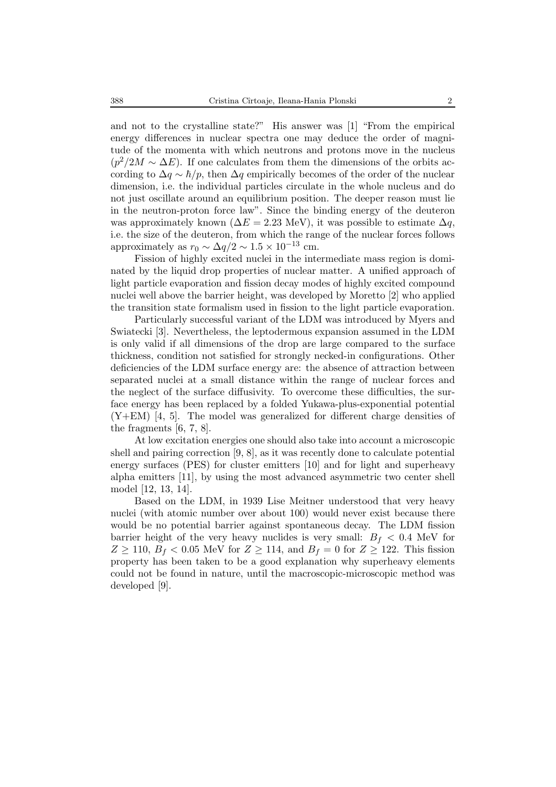and not to the crystalline state?" His answer was [1] "From the empirical energy differences in nuclear spectra one may deduce the order of magnitude of the momenta with which neutrons and protons move in the nucleus  $(p^2/2M \sim \Delta E)$ . If one calculates from them the dimensions of the orbits according to  $\Delta q \sim \hbar/p$ , then  $\Delta q$  empirically becomes of the order of the nuclear dimension, i.e. the individual particles circulate in the whole nucleus and do not just oscillate around an equilibrium position. The deeper reason must lie in the neutron-proton force law". Since the binding energy of the deuteron was approximately known ( $\Delta E = 2.23$  MeV), it was possible to estimate  $\Delta q$ , i.e. the size of the deuteron, from which the range of the nuclear forces follows approximately as  $r_0 \sim \Delta q/2 \sim 1.5 \times 10^{-13}$  cm.

Fission of highly excited nuclei in the intermediate mass region is dominated by the liquid drop properties of nuclear matter. A unified approach of light particle evaporation and fission decay modes of highly excited compound nuclei well above the barrier height, was developed by Moretto [2] who applied the transition state formalism used in fission to the light particle evaporation.

Particularly successful variant of the LDM was introduced by Myers and Swiatecki [3]. Nevertheless, the leptodermous expansion assumed in the LDM is only valid if all dimensions of the drop are large compared to the surface thickness, condition not satisfied for strongly necked-in configurations. Other deficiencies of the LDM surface energy are: the absence of attraction between separated nuclei at a small distance within the range of nuclear forces and the neglect of the surface diffusivity. To overcome these difficulties, the surface energy has been replaced by a folded Yukawa-plus-exponential potential  $(Y+EM)$  [4, 5]. The model was generalized for different charge densities of the fragments [6, 7, 8].

At low excitation energies one should also take into account a microscopic shell and pairing correction [9, 8], as it was recently done to calculate potential energy surfaces (PES) for cluster emitters [10] and for light and superheavy alpha emitters [11], by using the most advanced asymmetric two center shell model [12, 13, 14].

Based on the LDM, in 1939 Lise Meitner understood that very heavy nuclei (with atomic number over about 100) would never exist because there would be no potential barrier against spontaneous decay. The LDM fission barrier height of the very heavy nuclides is very small:  $B_f < 0.4$  MeV for  $Z \ge 110$ ,  $B_f < 0.05$  MeV for  $Z \ge 114$ , and  $B_f = 0$  for  $Z \ge 122$ . This fission property has been taken to be a good explanation why superheavy elements could not be found in nature, until the macroscopic-microscopic method was developed [9].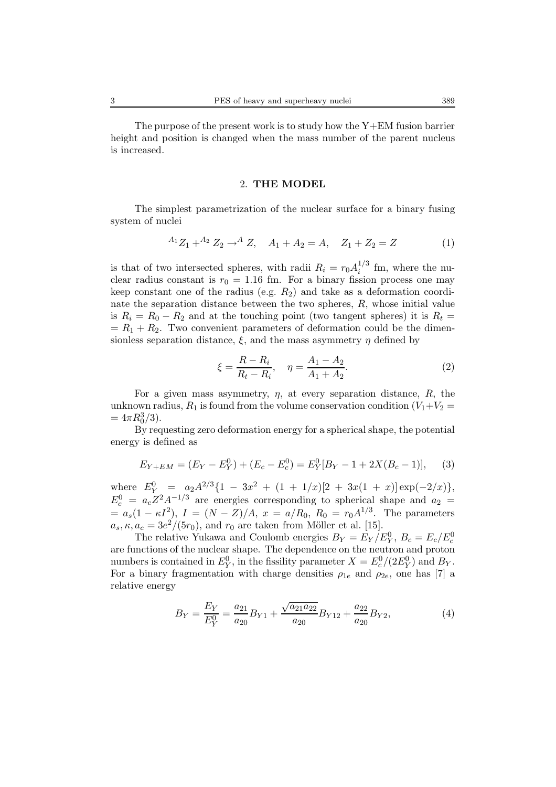#### 2. **THE MODEL**

The simplest parametrization of the nuclear surface for a binary fusing system of nuclei

$$
{}^{A_1}Z_1 + {}^{A_2}Z_2 \to {}^{A}Z, \quad A_1 + A_2 = A, \quad Z_1 + Z_2 = Z \tag{1}
$$

is that of two intersected spheres, with radii  $R_i = r_0 A_i^{1/3}$  fm, where the nuclear radius constant is  $r_0 = 1.16$  fm. For a binary fission process one may keep constant one of the radius (e.g.  $R_2$ ) and take as a deformation coordinate the separation distance between the two spheres,  $R$ , whose initial value is  $R_i = R_0 - R_2$  and at the touching point (two tangent spheres) it is  $R_t =$  $= R_1 + R_2$ . Two convenient parameters of deformation could be the dimensionless separation distance,  $\xi$ , and the mass asymmetry  $\eta$  defined by

$$
\xi = \frac{R - R_i}{R_t - R_i}, \quad \eta = \frac{A_1 - A_2}{A_1 + A_2}.
$$
\n(2)

For a given mass asymmetry,  $\eta$ , at every separation distance,  $R$ , the unknown radius,  $R_1$  is found from the volume conservation condition  $(V_1+V_2)$  $=4\pi R_0^3/3$ ).

By requesting zero deformation energy for a spherical shape, the potential energy is defined as

$$
E_{Y+EM} = (E_Y - E_Y^0) + (E_c - E_c^0) = E_Y^0[B_Y - 1 + 2X(B_c - 1)],
$$
 (3)

where  $E_Y^0 = a_2 A^{2/3} \{ 1 - 3x^2 + (1 + 1/x)[2 + 3x(1 + x)] \exp(-2/x) \},$  $E_c^0 = a_c Z^2 A^{-1/3}$  are energies corresponding to spherical shape and  $a_2 =$  $= a_s(1 - \kappa I^2), I = (N - Z)/A, x = a/R_0, R_0 = r_0A^{1/3}.$  The parameters  $a_s, \kappa, a_c = 3e^2/(5r_0)$ , and  $r_0$  are taken from Möller et al. [15].

The relative Yukawa and Coulomb energies  $B_Y = E_Y / E_Y^0$ ,  $B_c = E_c / E_c^0$ are functions of the nuclear shape. The dependence on the neutron and proton numbers is contained in  $E_Y^0$ , in the fissility parameter  $X = E_c^0/(2E_Y^0)$  and  $B_Y$ . For a binary fragmentation with charge densities  $\rho_{1e}$  and  $\rho_{2e}$ , one has [7] a relative energy

$$
B_Y = \frac{E_Y}{E_Y^0} = \frac{a_{21}}{a_{20}} B_{Y1} + \frac{\sqrt{a_{21} a_{22}}}{a_{20}} B_{Y12} + \frac{a_{22}}{a_{20}} B_{Y2},
$$
(4)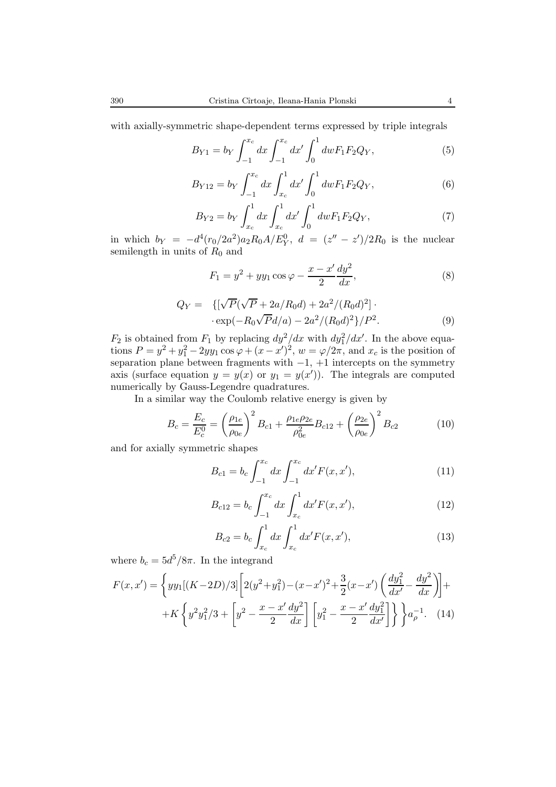with axially-symmetric shape-dependent terms expressed by triple integrals

$$
B_{Y1} = b_Y \int_{-1}^{x_c} dx \int_{-1}^{x_c} dx' \int_0^1 dw F_1 F_2 Q_Y,
$$
 (5)

$$
B_{Y12} = b_Y \int_{-1}^{x_c} dx \int_{x_c}^{1} dx' \int_0^1 dw F_1 F_2 Q_Y,
$$
 (6)

$$
B_{Y2} = b_Y \int_{x_c}^{1} dx \int_{x_c}^{1} dx' \int_0^1 dw F_1 F_2 Q_Y,
$$
 (7)

in which  $b_Y = -d^4(r_0/2a^2)a_2R_0A/E_Y^0$ ,  $d = (z'' - z')/2R_0$  is the nuclear semilength in units of  $R_0$  and

$$
F_1 = y^2 + yy_1 \cos \varphi - \frac{x - x'}{2} \frac{dy^2}{dx},
$$
\n(8)

$$
Q_Y = \{ [\sqrt{P}(\sqrt{P} + 2a/R_0d) + 2a^2/(R_0d)^2] \cdot \cdot \exp(-R_0\sqrt{P}d/a) - 2a^2/(R_0d)^2 \} / P^2.
$$
 (9)

 $F_2$  is obtained from  $F_1$  by replacing  $dy^2/dx$  with  $dy_1^2/dx'$ . In the above equations  $P = y^2 + y_1^2 - 2yy_1 \cos \varphi + (x - x')^2$ ,  $w = \varphi/2\pi$ , and  $x_c$  is the position of separation plane between fragments with  $-1$ ,  $+1$  intercepts on the symmetry axis (surface equation  $y = y(x)$  or  $y_1 = y(x')$ ). The integrals are computed numerically by Gauss-Legendre quadratures.

In a similar way the Coulomb relative energy is given by

$$
B_c = \frac{E_c}{E_c^0} = \left(\frac{\rho_{1e}}{\rho_{0e}}\right)^2 B_{c1} + \frac{\rho_{1e}\rho_{2e}}{\rho_{0e}^2} B_{c12} + \left(\frac{\rho_{2e}}{\rho_{0e}}\right)^2 B_{c2}
$$
(10)

and for axially symmetric shapes

$$
B_{c1} = b_c \int_{-1}^{x_c} dx \int_{-1}^{x_c} dx' F(x, x'), \qquad (11)
$$

$$
B_{c12} = b_c \int_{-1}^{x_c} dx \int_{x_c}^{1} dx' F(x, x'), \qquad (12)
$$

$$
B_{c2} = b_c \int_{x_c}^{1} dx \int_{x_c}^{1} dx' F(x, x'), \qquad (13)
$$

where  $b_c = 5d^5/8\pi$ . In the integrand

$$
F(x, x') = \left\{ yy_1[(K - 2D)/3] \left[ 2(y^2 + y_1^2) - (x - x')^2 + \frac{3}{2}(x - x') \left( \frac{dy_1^2}{dx'} - \frac{dy^2}{dx} \right) \right] + K \left\{ y^2 y_1^2 / 3 + \left[ y^2 - \frac{x - x'}{2} \frac{dy^2}{dx} \right] \left[ y_1^2 - \frac{x - x'}{2} \frac{dy_1^2}{dx'} \right] \right\} \right\} a_p^{-1}.
$$
 (14)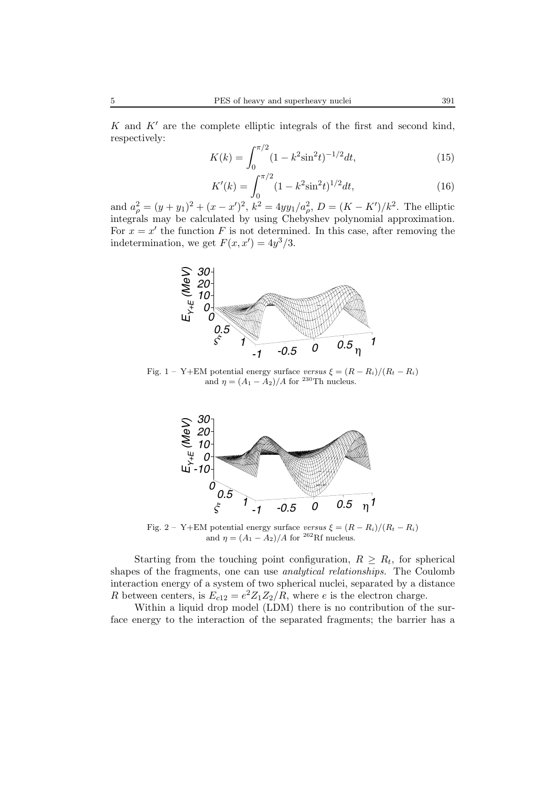K and  $K'$  are the complete elliptic integrals of the first and second kind, respectively:

$$
K(k) = \int_0^{\pi/2} (1 - k^2 \sin^2 t)^{-1/2} dt,
$$
\n(15)

$$
K'(k) = \int_0^{\pi/2} (1 - k^2 \sin^2 t)^{1/2} dt,
$$
\n(16)

and  $a_{\rho}^2 = (y + y_1)^2 + (x - x')^2$ ,  $k^2 = 4yy_1/a_{\rho}^2$ ,  $D = (K - K')/k^2$ . The elliptic integrals may be calculated by using Chebyshev polynomial approximation. For  $x = x'$  the function F is not determined. In this case, after removing the indetermination, we get  $F(x, x') = 4y^3/3$ .



Fig. 1 – Y+EM potential energy surface *versus*  $\xi = (R - R_i)/(R_t - R_i)$ and  $\eta = (A_1 - \tilde{A}_2)/A$  for <sup>230</sup>Th nucleus.



Fig. 2 – Y+EM potential energy surface *versus*  $\xi = (R - R_i)/(R_t - R_i)$ and  $\eta = (A_1 - A_2)/A$  for <sup>262</sup>Rf nucleus.

Starting from the touching point configuration,  $R \geq R_t$ , for spherical shapes of the fragments, one can use *analytical relationships.* The Coulomb interaction energy of a system of two spherical nuclei, separated by a distance R between centers, is  $E_{c12} = e^2 Z_1 Z_2 / R$ , where e is the electron charge.

Within a liquid drop model (LDM) there is no contribution of the surface energy to the interaction of the separated fragments; the barrier has a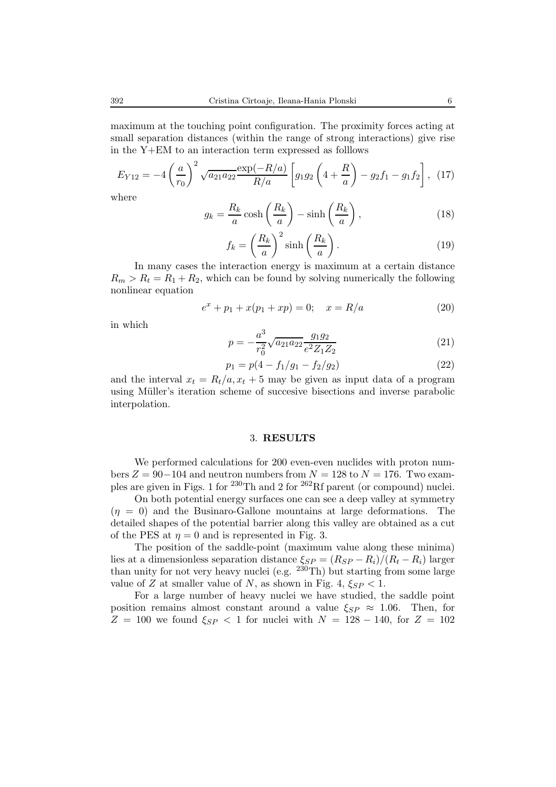maximum at the touching point configuration. The proximity forces acting at small separation distances (within the range of strong interactions) give rise in the Y+EM to an interaction term expressed as folllows

$$
E_{Y12} = -4\left(\frac{a}{r_0}\right)^2 \sqrt{a_{21}a_{22}} \frac{\exp(-R/a)}{R/a} \left[g_{1}g_{2}\left(4 + \frac{R}{a}\right) - g_{2}f_{1} - g_{1}f_{2}\right], \tag{17}
$$

where

$$
g_k = \frac{R_k}{a} \cosh\left(\frac{R_k}{a}\right) - \sinh\left(\frac{R_k}{a}\right),\tag{18}
$$

$$
f_k = \left(\frac{R_k}{a}\right)^2 \sinh\left(\frac{R_k}{a}\right). \tag{19}
$$

In many cases the interaction energy is maximum at a certain distance  $R_m > R_t = R_1 + R_2$ , which can be found by solving numerically the following nonlinear equation

$$
e^x + p_1 + x(p_1 + xp) = 0; \quad x = R/a \tag{20}
$$

in which

$$
p = -\frac{a^3}{r_0^2} \sqrt{a_{21} a_{22}} \frac{g_1 g_2}{e^2 Z_1 Z_2} \tag{21}
$$

$$
p_1 = p(4 - f_1/g_1 - f_2/g_2)
$$
\n(22)

and the interval  $x_t = R_t/a, x_t + 5$  may be given as input data of a program using Müller's iteration scheme of succesive bisections and inverse parabolic interpolation.

## 3. **RESULTS**

We performed calculations for 200 even-even nuclides with proton numbers  $Z = 90-104$  and neutron numbers from  $N = 128$  to  $N = 176$ . Two examples are given in Figs. 1 for <sup>230</sup>Th and 2 for <sup>262</sup>Rf parent (or compound) nuclei.

On both potential energy surfaces one can see a deep valley at symmetry  $(\eta = 0)$  and the Businaro-Gallone mountains at large deformations. The detailed shapes of the potential barrier along this valley are obtained as a cut of the PES at  $\eta = 0$  and is represented in Fig. 3.

The position of the saddle-point (maximum value along these minima) lies at a dimensionless separation distance  $\xi_{SP} = (R_{SP} - R_i)/(R_t - R_i)$  larger than unity for not very heavy nuclei (e.g.  $230 \text{ Th}$ ) but starting from some large value of Z at smaller value of N, as shown in Fig. 4,  $\xi_{SP}$  < 1.

For a large number of heavy nuclei we have studied, the saddle point position remains almost constant around a value  $\xi_{SP} \approx 1.06$ . Then, for  $Z = 100$  we found  $\xi_{SP} < 1$  for nuclei with  $N = 128 - 140$ , for  $Z = 102$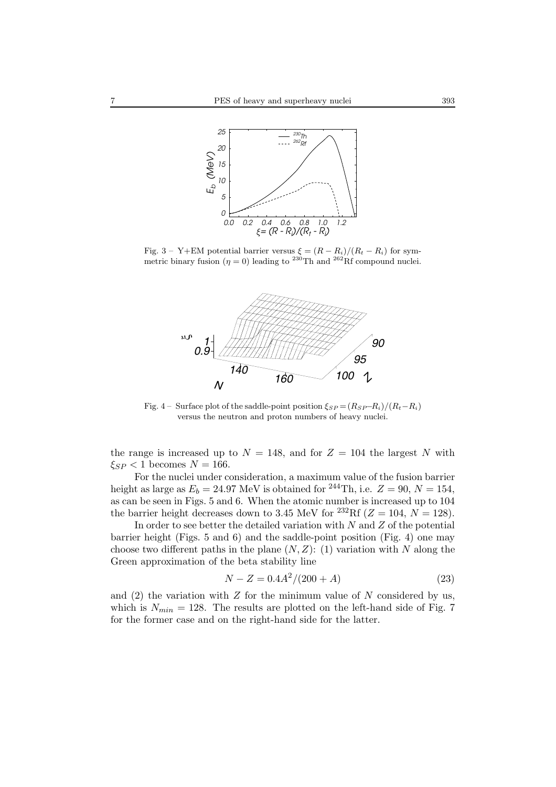

Fig. 3 – Y+EM potential barrier versus  $\xi = (R - R_i)/(R_t - R_i)$  for symmetric binary fusion ( $\eta = 0$ ) leading to <sup>230</sup>Th and <sup>262</sup>Rf compound nuclei.



Fig. 4 – Surface plot of the saddle-point position  $\xi_{SP} = (R_{SP} - R_i)/(R_t - R_i)$ versus the neutron and proton numbers of heavy nuclei.

the range is increased up to  $N = 148$ , and for  $Z = 104$  the largest N with  $\xi_{SP}$  < 1 becomes  $N = 166$ .

For the nuclei under consideration, a maximum value of the fusion barrier height as large as  $E_b = 24.97$  MeV is obtained for <sup>244</sup>Th, i.e.  $Z = 90, N = 154$ , as can be seen in Figs. 5 and 6. When the atomic number is increased up to 104 the barrier height decreases down to 3.45 MeV for <sup>232</sup>Rf ( $Z = 104$ ,  $N = 128$ ).

In order to see better the detailed variation with  $N$  and  $Z$  of the potential barrier height (Figs. 5 and 6) and the saddle-point position (Fig. 4) one may choose two different paths in the plane  $(N, Z)$ : (1) variation with N along the Green approximation of the beta stability line

$$
N - Z = 0.4A^2/(200 + A)
$$
\n(23)

and  $(2)$  the variation with Z for the minimum value of N considered by us, which is  $N_{min} = 128$ . The results are plotted on the left-hand side of Fig. 7 for the former case and on the right-hand side for the latter.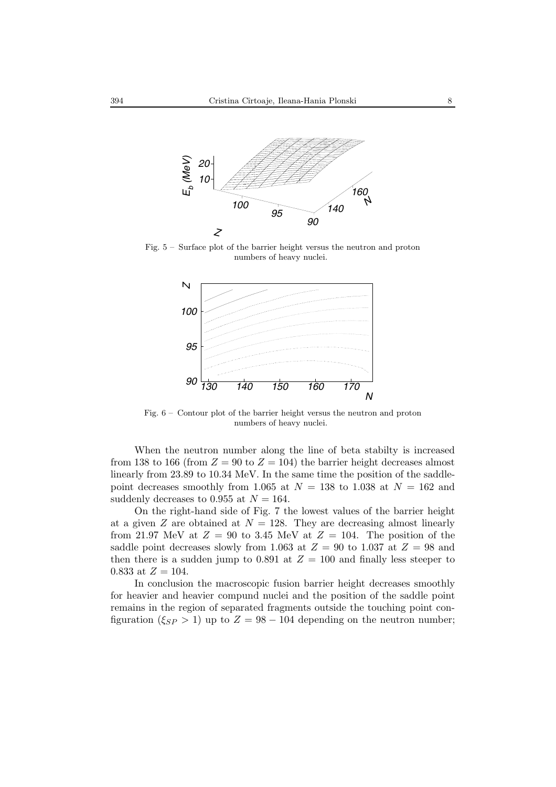

Fig. 5 – Surface plot of the barrier height versus the neutron and proton numbers of heavy nuclei.



Fig. 6 – Contour plot of the barrier height versus the neutron and proton numbers of heavy nuclei.

When the neutron number along the line of beta stabilty is increased from 138 to 166 (from  $Z = 90$  to  $Z = 104$ ) the barrier height decreases almost linearly from 23.89 to 10.34 MeV. In the same time the position of the saddlepoint decreases smoothly from 1.065 at  $N = 138$  to 1.038 at  $N = 162$  and suddenly decreases to 0.955 at  $N = 164$ .

On the right-hand side of Fig. 7 the lowest values of the barrier height at a given  $Z$  are obtained at  $N = 128$ . They are decreasing almost linearly from 21.97 MeV at  $Z = 90$  to 3.45 MeV at  $Z = 104$ . The position of the saddle point decreases slowly from 1.063 at  $Z = 90$  to 1.037 at  $Z = 98$  and then there is a sudden jump to 0.891 at  $Z = 100$  and finally less steeper to 0.833 at  $Z = 104$ .

In conclusion the macroscopic fusion barrier height decreases smoothly for heavier and heavier compund nuclei and the position of the saddle point remains in the region of separated fragments outside the touching point configuration ( $\xi_{SP} > 1$ ) up to  $Z = 98 - 104$  depending on the neutron number;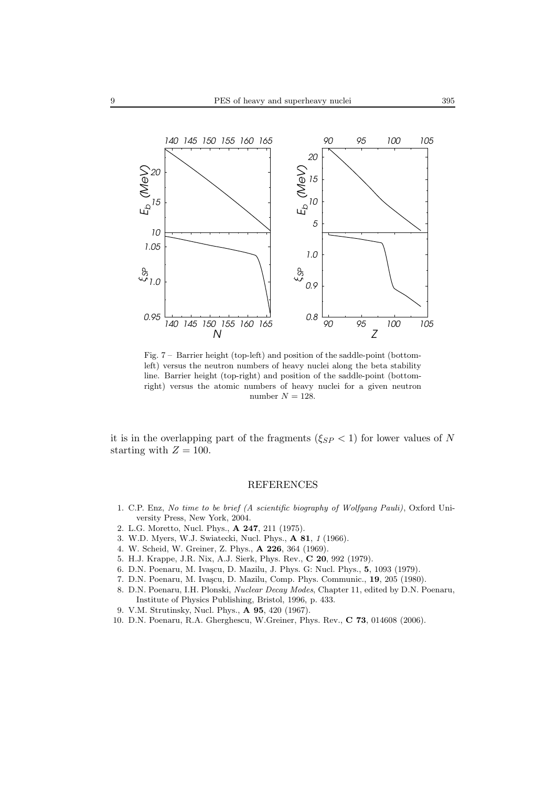

Fig. 7 – Barrier height (top-left) and position of the saddle-point (bottomleft) versus the neutron numbers of heavy nuclei along the beta stability line. Barrier height (top-right) and position of the saddle-point (bottomright) versus the atomic numbers of heavy nuclei for a given neutron number  $N = 128$ .

it is in the overlapping part of the fragments ( $\xi_{SP}$  < 1) for lower values of N starting with  $Z = 100$ .

## REFERENCES

- 1. C.P. Enz, *No time to be brief (A scientific biography of Wolfgang Pauli)*, Oxford University Press, New York, 2004.
- 2. L.G. Moretto, Nucl. Phys., **A 247**, 211 (1975).
- 3. W.D. Myers, W.J. Swiatecki, Nucl. Phys., **A 81**, *1* (1966).
- 4. W. Scheid, W. Greiner, Z. Phys., **A 226**, 364 (1969).
- 5. H.J. Krappe, J.R. Nix, A.J. Sierk, Phys. Rev., **C 20**, 992 (1979).
- 6. D.N. Poenaru, M. Iva¸scu, D. Mazilu, J. Phys. G: Nucl. Phys., **5**, 1093 (1979).
- 7. D.N. Poenaru, M. Ivascu, D. Mazilu, Comp. Phys. Communic., **19**, 205 (1980).
- 8. D.N. Poenaru, I.H. Plonski, *Nuclear Decay Modes*, Chapter 11, edited by D.N. Poenaru, Institute of Physics Publishing, Bristol, 1996, p. 433.
- 9. V.M. Strutinsky, Nucl. Phys., **A 95**, 420 (1967).
- 10. D.N. Poenaru, R.A. Gherghescu, W.Greiner, Phys. Rev., **C 73**, 014608 (2006).